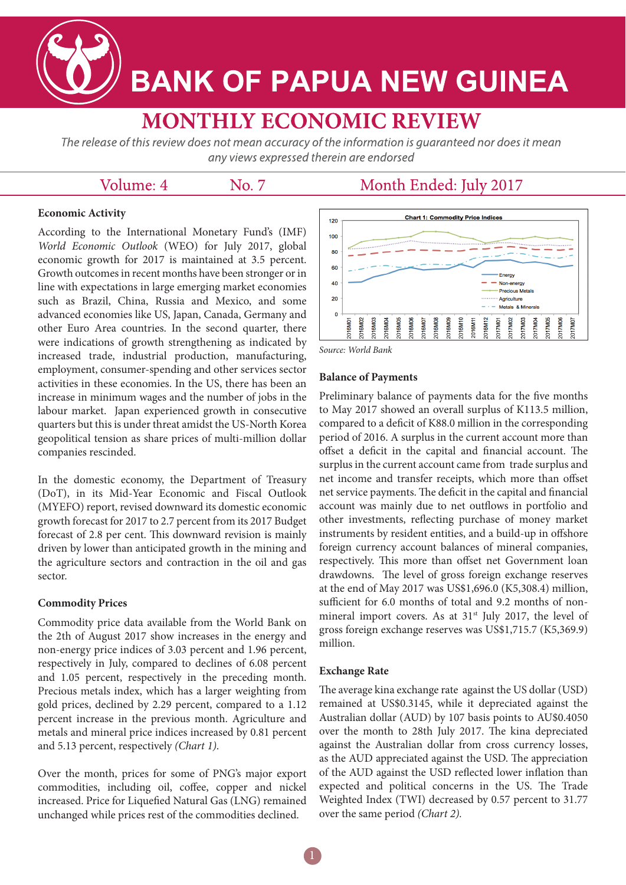**BANK OF PAPUA NEW GUINEA** 

# **MONTHLY ECONOMIC REVIEW**

The release of this review does not mean accuracy of the information is guaranteed nor does it mean any views expressed therein are endorsed

## Volume: 4

No. 7

### **Economic Activity**

According to the International Monetary Fund's (IMF) *World Economic Outlook* (WEO) for July 2017, global economic growth for 2017 is maintained at 3.5 percent. Growth outcomes in recent months have been stronger or in line with expectations in large emerging market economies such as Brazil, China, Russia and Mexico, and some advanced economies like US, Japan, Canada, Germany and other Euro Area countries. In the second quarter, there were indications of growth strengthening as indicated by increased trade, industrial production, manufacturing, employment, consumer-spending and other services sector activities in these economies. In the US, there has been an increase in minimum wages and the number of jobs in the labour market. Japan experienced growth in consecutive quarters but this is under threat amidst the US-North Korea geopolitical tension as share prices of multi-million dollar companies rescinded.

In the domestic economy, the Department of Treasury (DoT), in its Mid-Year Economic and Fiscal Outlook (MYEFO) report, revised downward its domestic economic growth forecast for 2017 to 2.7 percent from its 2017 Budget forecast of 2.8 per cent. This downward revision is mainly driven by lower than anticipated growth in the mining and the agriculture sectors and contraction in the oil and gas sector.

#### **Commodity Prices**

Commodity price data available from the World Bank on the 2th of August 2017 show increases in the energy and non-energy price indices of 3.03 percent and 1.96 percent, respectively in July, compared to declines of 6.08 percent and 1.05 percent, respectively in the preceding month. Precious metals index, which has a larger weighting from gold prices, declined by 2.29 percent, compared to a 1.12 percent increase in the previous month. Agriculture and metals and mineral price indices increased by 0.81 percent and 5.13 percent, respectively *(Chart 1)*.

Over the month, prices for some of PNG's major export commodities, including oil, coffee, copper and nickel increased. Price for Liquefied Natural Gas (LNG) remained unchanged while prices rest of the commodities declined.



Month Ended: July 2017



#### **Balance of Payments**

Preliminary balance of payments data for the five months to May 2017 showed an overall surplus of K113.5 million, compared to a deficit of K88.0 million in the corresponding period of 2016. A surplus in the current account more than offset a deficit in the capital and financial account. The surplus in the current account came from trade surplus and net income and transfer receipts, which more than offset net service payments. The deficit in the capital and financial account was mainly due to net outflows in portfolio and other investments, reflecting purchase of money market instruments by resident entities, and a build-up in offshore foreign currency account balances of mineral companies, respectively. This more than offset net Government loan drawdowns. The level of gross foreign exchange reserves at the end of May 2017 was US\$1,696.0 (K5,308.4) million, sufficient for 6.0 months of total and 9.2 months of nonmineral import covers. As at  $31<sup>st</sup>$  July 2017, the level of gross foreign exchange reserves was US\$1,715.7 (K5,369.9) million.

#### **Exchange Rate**

The average kina exchange rate against the US dollar (USD) remained at US\$0.3145, while it depreciated against the Australian dollar (AUD) by 107 basis points to AU\$0.4050 over the month to 28th July 2017. The kina depreciated against the Australian dollar from cross currency losses, as the AUD appreciated against the USD. The appreciation of the AUD against the USD reflected lower inflation than expected and political concerns in the US. The Trade Weighted Index (TWI) decreased by 0.57 percent to 31.77 over the same period *(Chart 2).*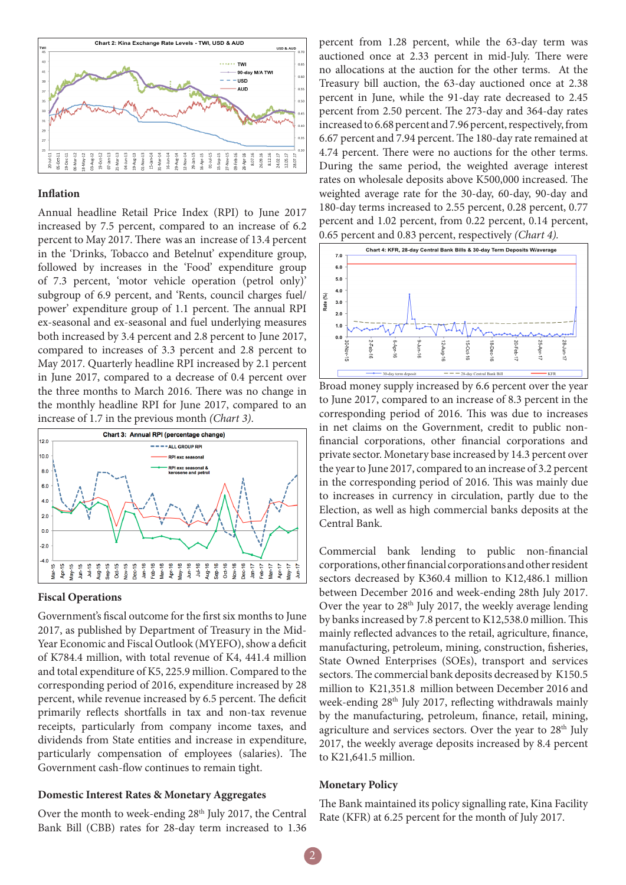

#### **Inflation**

Annual headline Retail Price Index (RPI) to June 2017 increased by 7.5 percent, compared to an increase of 6.2 percent to May 2017. There was an increase of 13.4 percent in the 'Drinks, Tobacco and Betelnut' expenditure group, followed by increases in the 'Food' expenditure group of 7.3 percent, 'motor vehicle operation (petrol only)' subgroup of 6.9 percent, and 'Rents, council charges fuel/ power' expenditure group of 1.1 percent. The annual RPI ex-seasonal and ex-seasonal and fuel underlying measures both increased by 3.4 percent and 2.8 percent to June 2017, compared to increases of 3.3 percent and 2.8 percent to May 2017. Quarterly headline RPI increased by 2.1 percent in June 2017, compared to a decrease of 0.4 percent over the three months to March 2016. There was no change in the monthly headline RPI for June 2017, compared to an increase of 1.7 in the previous month *(Chart 3)*.



#### **Fiscal Operations**

Government's fiscal outcome for the first six months to June 2017, as published by Department of Treasury in the Mid-Year Economic and Fiscal Outlook (MYEFO), show a deficit of K784.4 million, with total revenue of K4, 441.4 million and total expenditure of K5, 225.9 million. Compared to the corresponding period of 2016, expenditure increased by 28 percent, while revenue increased by 6.5 percent. The deficit primarily reflects shortfalls in tax and non-tax revenue receipts, particularly from company income taxes, and dividends from State entities and increase in expenditure, particularly compensation of employees (salaries). The Government cash-flow continues to remain tight.

#### **Domestic Interest Rates & Monetary Aggregates**

Over the month to week-ending 28<sup>th</sup> July 2017, the Central Bank Bill (CBB) rates for 28-day term increased to 1.36

percent from 1.28 percent, while the 63-day term was auctioned once at 2.33 percent in mid-July. There were no allocations at the auction for the other terms. At the Treasury bill auction, the 63-day auctioned once at 2.38 percent in June, while the 91-day rate decreased to 2.45 percent from 2.50 percent. The 273-day and 364-day rates increased to 6.68 percent and 7.96 percent, respectively, from 6.67 percent and 7.94 percent. The 180-day rate remained at 4.74 percent. There were no auctions for the other terms. During the same period, the weighted average interest rates on wholesale deposits above K500,000 increased. The weighted average rate for the 30-day, 60-day, 90-day and 180-day terms increased to 2.55 percent, 0.28 percent, 0.77 percent and 1.02 percent, from 0.22 percent, 0.14 percent, 0.65 percent and 0.83 percent, respectively *(Chart 4).* 



Broad money supply increased by 6.6 percent over the year to June 2017, compared to an increase of 8.3 percent in the corresponding period of 2016. This was due to increases in net claims on the Government, credit to public nonfinancial corporations, other financial corporations and private sector. Monetary base increased by 14.3 percent over the year to June 2017, compared to an increase of 3.2 percent in the corresponding period of 2016. This was mainly due to increases in currency in circulation, partly due to the Election, as well as high commercial banks deposits at the Central Bank.

Commercial bank lending to public non-financial corporations, other financial corporations and other resident sectors decreased by K360.4 million to K12,486.1 million between December 2016 and week-ending 28th July 2017. Over the year to 28<sup>th</sup> July 2017, the weekly average lending by banks increased by 7.8 percent to K12,538.0 million. This mainly reflected advances to the retail, agriculture, finance, manufacturing, petroleum, mining, construction, fisheries, State Owned Enterprises (SOEs), transport and services sectors. The commercial bank deposits decreased by K150.5 million to K21,351.8 million between December 2016 and week-ending 28th July 2017, reflecting withdrawals mainly by the manufacturing, petroleum, finance, retail, mining, agriculture and services sectors. Over the year to 28<sup>th</sup> July 2017, the weekly average deposits increased by 8.4 percent to K21,641.5 million.

#### **Monetary Policy**

The Bank maintained its policy signalling rate, Kina Facility Rate (KFR) at 6.25 percent for the month of July 2017.